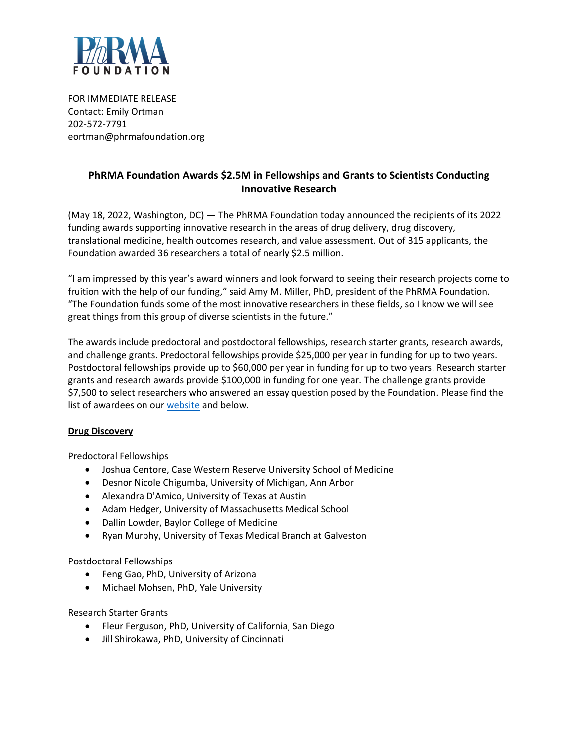

FOR IMMEDIATE RELEASE Contact: Emily Ortman 202-572-7791 eortman@phrmafoundation.org

# **PhRMA Foundation Awards \$2.5M in Fellowships and Grants to Scientists Conducting Innovative Research**

(May 18, 2022, Washington, DC) — The PhRMA Foundation today announced the recipients of its 2022 funding awards supporting innovative research in the areas of drug delivery, drug discovery, translational medicine, health outcomes research, and value assessment. Out of 315 applicants, the Foundation awarded 36 researchers a total of nearly \$2.5 million.

"I am impressed by this year's award winners and look forward to seeing their research projects come to fruition with the help of our funding," said Amy M. Miller, PhD, president of the PhRMA Foundation. "The Foundation funds some of the most innovative researchers in these fields, so I know we will see great things from this group of diverse scientists in the future."

The awards include predoctoral and postdoctoral fellowships, research starter grants, research awards, and challenge grants. Predoctoral fellowships provide \$25,000 per year in funding for up to two years. Postdoctoral fellowships provide up to \$60,000 per year in funding for up to two years. Research starter grants and research awards provide \$100,000 in funding for one year. The challenge grants provide \$7,500 to select researchers who answered an essay question posed by the Foundation. Please find the list of awardees on our [website](https://www.phrmafoundation.org/awards/2022-award-recipients/) and below.

#### **Drug Discovery**

Predoctoral Fellowships

- Joshua Centore, Case Western Reserve University School of Medicine
- Desnor Nicole Chigumba, University of Michigan, Ann Arbor
- Alexandra D'Amico, University of Texas at Austin
- Adam Hedger, University of Massachusetts Medical School
- Dallin Lowder, Baylor College of Medicine
- Ryan Murphy, University of Texas Medical Branch at Galveston

Postdoctoral Fellowships

- Feng Gao, PhD, University of Arizona
- Michael Mohsen, PhD, Yale University

Research Starter Grants

- Fleur Ferguson, PhD, University of California, San Diego
- Jill Shirokawa, PhD, University of Cincinnati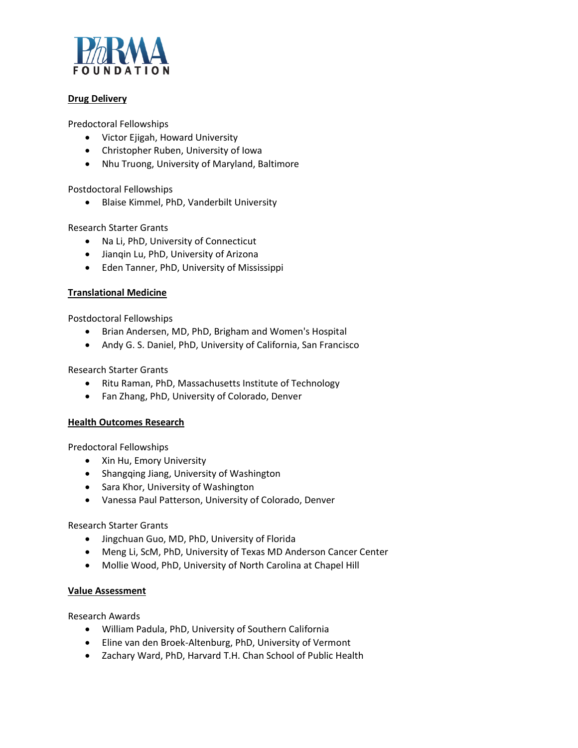

## **Drug Delivery**

Predoctoral Fellowships

- Victor Ejigah, Howard University
- Christopher Ruben, University of Iowa
- Nhu Truong, University of Maryland, Baltimore

Postdoctoral Fellowships

• Blaise Kimmel, PhD, Vanderbilt University

Research Starter Grants

- Na Li, PhD, University of Connecticut
- Jianqin Lu, PhD, University of Arizona
- Eden Tanner, PhD, University of Mississippi

#### **Translational Medicine**

Postdoctoral Fellowships

- Brian Andersen, MD, PhD, Brigham and Women's Hospital
- Andy G. S. Daniel, PhD, University of California, San Francisco

Research Starter Grants

- Ritu Raman, PhD, Massachusetts Institute of Technology
- Fan Zhang, PhD, University of Colorado, Denver

#### **Health Outcomes Research**

Predoctoral Fellowships

- Xin Hu, Emory University
- Shangqing Jiang, University of Washington
- Sara Khor, University of Washington
- Vanessa Paul Patterson, University of Colorado, Denver

#### Research Starter Grants

- Jingchuan Guo, MD, PhD, University of Florida
- Meng Li, ScM, PhD, University of Texas MD Anderson Cancer Center
- Mollie Wood, PhD, University of North Carolina at Chapel Hill

#### **Value Assessment**

Research Awards

- William Padula, PhD, University of Southern California
- Eline van den Broek-Altenburg, PhD, University of Vermont
- Zachary Ward, PhD, Harvard T.H. Chan School of Public Health